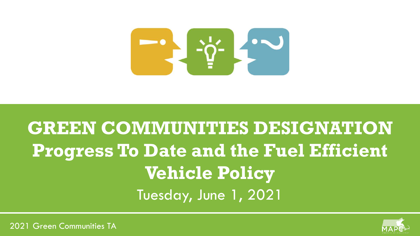

# **GREEN COMMUNITIES DESIGNATION Progress To Date and the Fuel Efficient Vehicle Policy** Tuesday, June 1, 2021

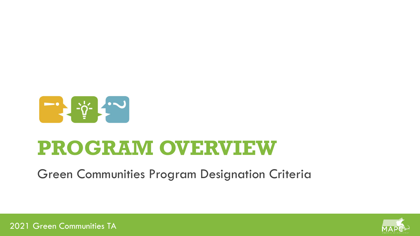

# **PROGRAM OVERVIEW**

Green Communities Program Designation Criteria

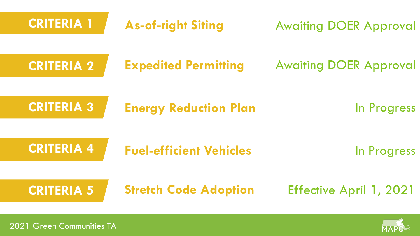| <b>CRITERIA 1</b>         | <b>As-of-right Siting</b>      | <b>Awaiting DOER Approval</b> |
|---------------------------|--------------------------------|-------------------------------|
| <b>CRITERIA 2</b>         | <b>Expedited Permitting</b>    | <b>Awaiting DOER Approval</b> |
| <b>CRITERIA 3</b>         | <b>Energy Reduction Plan</b>   | In Progress                   |
| <b>CRITERIA 4</b>         | <b>Fuel-efficient Vehicles</b> | In Progress                   |
| <b>CRITERIA 5</b>         | <b>Stretch Code Adoption</b>   | Effective April 1, 2021       |
| 2021 Green Communities TA |                                |                               |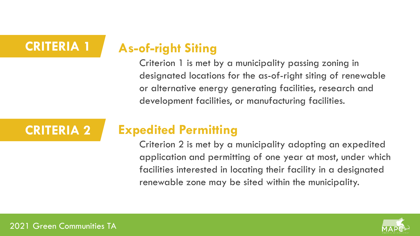#### **CRITERIA 1 As-of-right Siting**

Criterion 1 is met by a municipality passing zoning in designated locations for the as-of-right siting of renewable or alternative energy generating facilities, research and development facilities, or manufacturing facilities.

# **CRITERIA 2 Expedited Permitting**

Criterion 2 is met by a municipality adopting an expedited application and permitting of one year at most, under which facilities interested in locating their facility in a designated renewable zone may be sited within the municipality.

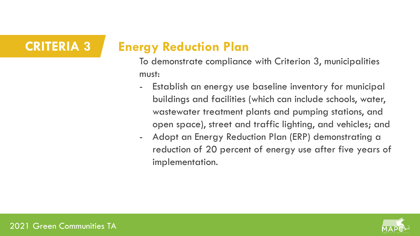# **CRITERIA 3 Energy Reduction Plan**

To demonstrate compliance with Criterion 3, municipalities must:

- Establish an energy use baseline inventory for municipal buildings and facilities (which can include schools, water, wastewater treatment plants and pumping stations, and open space), street and traffic lighting, and vehicles; and
- Adopt an Energy Reduction Plan (ERP) demonstrating a reduction of 20 percent of energy use after five years of implementation.

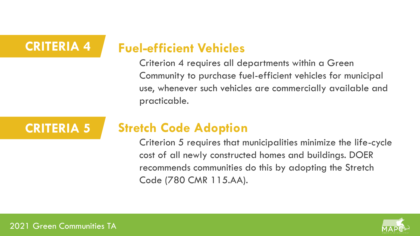#### **CRITERIA 4 Fuel-efficient Vehicles**

Criterion 4 requires all departments within a Green Community to purchase fuel-efficient vehicles for municipal use, whenever such vehicles are commercially available and practicable.

# **CRITERIA 5 Stretch Code Adoption**

Criterion 5 requires that municipalities minimize the life-cycle cost of all newly constructed homes and buildings. DOER recommends communities do this by adopting the Stretch Code (780 CMR 115.AA).

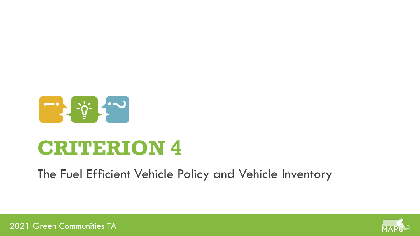

# **CRITERION 4**

The Fuel Efficient Vehicle Policy and Vehicle Inventory

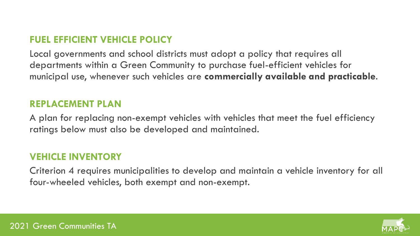## **FUEL EFFICIENT VEHICLE POLICY**

Local governments and school districts must adopt a policy that requires all departments within a Green Community to purchase fuel-efficient vehicles for municipal use, whenever such vehicles are **commercially available and practicable**.

## **REPLACEMENT PLAN**

A plan for replacing non-exempt vehicles with vehicles that meet the fuel efficiency ratings below must also be developed and maintained.

## **VEHICLE INVENTORY**

Criterion 4 requires municipalities to develop and maintain a vehicle inventory for all four-wheeled vehicles, both exempt and non-exempt.

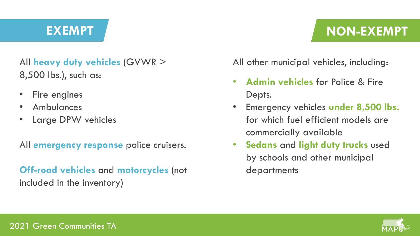# **EXEMPT NON-EXEMPT**

# All **heavy duty vehicles** (GVWR > 8,500 lbs.), such as:

- Fire engines
- Ambulances
- Large DPW vehicles

All **emergency response** police cruisers.

**Off-road vehicles** and **motorcycles** (not included in the inventory)

All other municipal vehicles, including:

- **Admin vehicles** for Police & Fire Depts.
- Emergency vehicles **under 8,500 lbs.**  for which fuel efficient models are commercially available
- **Sedans** and **light duty trucks** used by schools and other municipal departments

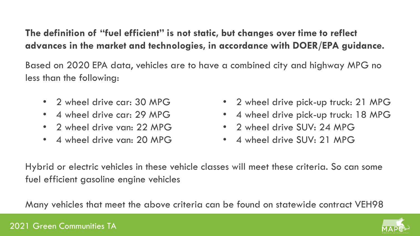# **The definition of "fuel efficient" is not static, but changes over time to reflect advances in the market and technologies, in accordance with DOER/EPA guidance.**

Based on 2020 EPA data, vehicles are to have a combined city and highway MPG no less than the following:

- 2 wheel drive car: 30 MPG
- 4 wheel drive car: 29 MPG
- 2 wheel drive van: 22 MPG
- 4 wheel drive van: 20 MPG
- 2 wheel drive pick-up truck: 21 MPG
- 4 wheel drive pick-up truck: 18 MPG
- 2 wheel drive SUV: 24 MPG
- 4 wheel drive SUV: 21 MPG

Hybrid or electric vehicles in these vehicle classes will meet these criteria. So can some fuel efficient gasoline engine vehicles

Many vehicles that meet the above criteria can be found on statewide contract VEH98

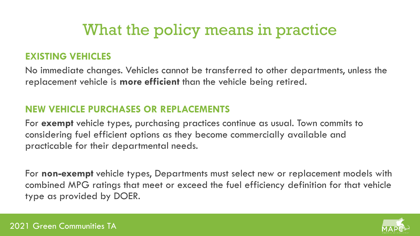# What the policy means in practice

### **EXISTING VEHICLES**

No immediate changes. Vehicles cannot be transferred to other departments, unless the replacement vehicle is **more efficient** than the vehicle being retired.

### **NEW VEHICLE PURCHASES OR REPLACEMENTS**

For **exempt** vehicle types, purchasing practices continue as usual. Town commits to considering fuel efficient options as they become commercially available and practicable for their departmental needs.

For **non-exempt** vehicle types, Departments must select new or replacement models with combined MPG ratings that meet or exceed the fuel efficiency definition for that vehicle type as provided by DOER.

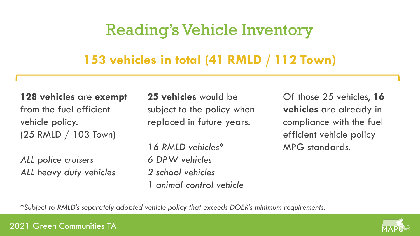# Reading's Vehicle Inventory

# **153 vehicles in total (41 RMLD / 112 Town)**

**128 vehicles** are **exempt** from the fuel efficient vehicle policy. (25 RMLD / 103 Town)

*ALL police cruisers ALL heavy duty vehicles*  **25 vehicles** would be subject to the policy when replaced in future years.

*16 RMLD vehicles\* 6 DPW vehicles 2 school vehicles 1 animal control vehicle*  Of those 25 vehicles, **16 vehicles** are already in compliance with the fuel efficient vehicle policy MPG standards.

*\*Subject to RMLD's separately adopted vehicle policy that exceeds DOER's minimum requirements.*

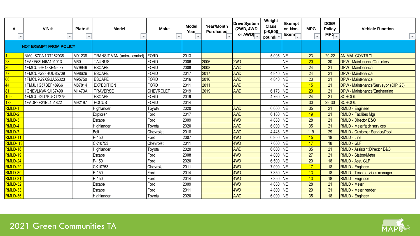| $\overline{\mathbf{v}}$ | VIN#<br>$\overline{\phantom{a}}$ | Plate #<br>$\overline{\phantom{a}}$ | Model<br>$\overline{\phantom{a}}$   | Make<br>$\overline{\phantom{a}}$ | Model<br>Year | Year/Month<br><b>Purchased</b> | <b>Drive System</b><br>(2WD, 4WD<br>or $AWD$ | Weight<br><b>Class</b><br>( > 8, 500<br>pound: | Exempt<br>or Non-<br>Exem <sup>-</sup> | <b>MPG</b><br>$\overline{\phantom{a}}$ | <b>DOER</b><br><b>Policy</b><br>$MPC_{\overline{v}}$ | <b>Vehicle Function</b><br>$\overline{\phantom{a}}$ |
|-------------------------|----------------------------------|-------------------------------------|-------------------------------------|----------------------------------|---------------|--------------------------------|----------------------------------------------|------------------------------------------------|----------------------------------------|----------------------------------------|------------------------------------------------------|-----------------------------------------------------|
|                         | <b>NOT EXEMPT FROM POLICY</b>    |                                     |                                     |                                  |               |                                |                                              |                                                |                                        |                                        |                                                      |                                                     |
|                         | NM0LS7CN1DT162938                | M91238                              | <b>TRANSIT VAN (animal control)</b> | FORD                             | 2013          |                                |                                              | 5,005 NE                                       |                                        | 23                                     | $20 - 22$                                            | <b>ANIMAL CONTROL</b>                               |
| 28                      | 1FAFP53U46A191013                | M60                                 | <b>TAURUS</b>                       | FORD                             | 2006          | 2006                           | 2 <sub>WD</sub>                              |                                                | NΕ                                     | 20                                     | 30                                                   | <b>DPW</b> - Maintenance/Cemetery                   |
| 36                      | 1FMCU59H18KE45687                | M79946                              | <b>ESCAPE</b>                       | FORD                             | 2008          | 2008                           | <b>AWD</b>                                   |                                                | NE.                                    | 24                                     | 21                                                   | <b>DPW</b> - Maintenance                            |
| 77                      | 1FMCU9G93HUD85709                | M98626                              | <b>ESCAPE</b>                       | FORD                             | 2017          | 2017                           | <b>AWD</b>                                   | 4,840                                          | <b>NE</b>                              | 24                                     | 21                                                   | <b>DPW</b> - Maintenance                            |
| 66                      | 1FMCU9G9XGUA55323                | M95750                              | <b>ESCAPE</b>                       | FORD                             | 2016          | 2016                           | <b>AWD</b>                                   | 4,840                                          | <b>NE</b>                              | 23                                     | 21                                                   | <b>DPW</b> - Maintenance                            |
| 44                      | 1FMJU1G57BEF48966                | M87814                              | <b>EXPEDITION</b>                   | FORD                             | 2011          | 2011                           | <b>AWD</b>                                   |                                                | <b>NE</b>                              | 15                                     | 21                                                   | DPW - Maintenance/Surveyor (CIP '23)                |
|                         | 1GNEVLKW4KJ137490                | M1473A                              | <b>TRAVERSE</b>                     | <b>CHEVROLET</b>                 | 2019          | 2019                           | <b>AWD</b>                                   | 6.173                                          | <b>NE</b>                              | 20                                     | 21                                                   | DPW - Maintenance/Engineering                       |
| 109                     | 1FMCU9GD7KUC17275                |                                     | <b>ESCAPE</b>                       | FORD                             | 2019          |                                |                                              | 4,760                                          | <b>NE</b>                              | 24                                     | 21                                                   | <b>SCHOOL</b>                                       |
| 173                     | 1FADP3F21EL151822                | M92197                              | <b>FOCUS</b>                        | FORD                             | 2014          |                                |                                              |                                                | NΕ                                     | 30                                     | $29 - 30$                                            | <b>SCHOOL</b>                                       |
| <b>RMLD-1</b>           |                                  |                                     | Highlander                          | Tovota                           | 2020          |                                | <b>AWD</b>                                   | 6.000                                          | <b>NE</b>                              | 35                                     | 21                                                   | <b>RMLD - Engineer</b>                              |
| RMLD-2                  |                                  |                                     | Explorer                            | Ford                             | 2017          |                                | <b>AWD</b>                                   | 6,180                                          | <b>NE</b>                              | 19                                     | 21                                                   | <b>RMLD - Facilities Mgr</b>                        |
| RMLD-3                  |                                  |                                     | Escape                              | Ford                             | 2009          |                                | 4WD                                          | 4.880                                          | <b>NE</b>                              | 28                                     | 21                                                   | <b>RMLD - Director E&amp;O</b>                      |
| RMLD-4                  |                                  |                                     | Highlander                          | Toyota                           | 2020          |                                | <b>AWD</b>                                   | 6,000                                          | <b>NE</b>                              | 35                                     | 21                                                   | <b>RMLD</b> - Meter/tech services                   |
| RMLD-7                  |                                  |                                     | Bolt                                | Chevrolet                        | 2018          |                                | <b>AWD</b>                                   | 4,448 NE                                       |                                        | 119                                    | 29                                                   | <b>RMLD - Customer Service/Pool</b>                 |
| RMLD-11                 |                                  |                                     | $F-150$                             | Ford                             | 2007          |                                | 4 <sub>WD</sub>                              | 6,950                                          | <b>NE</b>                              | 15                                     | 18                                                   | <b>RMLD - Line</b>                                  |
| <b>RMLD-13</b>          |                                  |                                     | CK10753                             | Chevrolet                        | 2011          |                                | 4 <sub>WD</sub>                              | 7,000                                          | <b>NE</b>                              | 17                                     | 18                                                   | <b>RMLD - GLF</b>                                   |
| RMLD-16                 |                                  |                                     | Highlander                          | Tovota                           | 2020          |                                | <b>AWD</b>                                   | 6.000                                          | <b>NE</b>                              | 35                                     | 21                                                   | <b>RMLD - Assistant Director E&amp;O</b>            |
| RMLD-19                 |                                  |                                     | Escape                              | Ford                             | 2008          |                                | 4 <sub>WD</sub>                              | 4,800                                          | <b>NE</b>                              | 27                                     | 21                                                   | <b>RMLD - Station/Meter</b>                         |
| RMLD-24                 |                                  |                                     | $F-150$                             | Ford                             | 2020          |                                | 4 <sub>WD</sub>                              | 6,500                                          | <b>NE</b>                              | 20                                     | 18                                                   | <b>RMLD - Asst. GLF</b>                             |
| RMLD-29                 |                                  |                                     | CK10753                             | Chevrolet                        | 2011          |                                | 4 <sub>WD</sub>                              | 7,000                                          | <b>NE</b>                              | 17                                     | 18                                                   | <b>RMLD - Engineer</b>                              |
| RMLD-30                 |                                  |                                     | $F-150$                             | Ford                             | 2014          |                                | 4 <sub>WD</sub>                              | 7,350                                          | <b>NE</b>                              | 13                                     | 18                                                   | RMLD - Tech services manager                        |
| RMLD-31                 |                                  |                                     | $F-150$                             | Ford                             | 2014          |                                | 4 <sub>WD</sub>                              | 7,350                                          | <b>NE</b>                              | 13                                     | 18                                                   | <b>RMLD - Engineer</b>                              |
| RMLD-32                 |                                  |                                     | Escape                              | Ford                             | 2009          |                                | 4WD                                          | 4,880                                          | <b>NE</b>                              | 28                                     | 21                                                   | <b>RMLD - Meter</b>                                 |
| RMLD-33                 |                                  |                                     | Escape                              | Ford                             | 2011          |                                | 4WD                                          | 4.800                                          | <b>NE</b>                              | 29                                     | 21                                                   | <b>RMLD - Meter reader</b>                          |
| RMLD-36                 |                                  |                                     | Highlander                          | Toyota                           | 2020          |                                | <b>AWD</b>                                   | 6,000 NE                                       |                                        | 35                                     | 18                                                   | <b>RMLD - Engineer</b>                              |

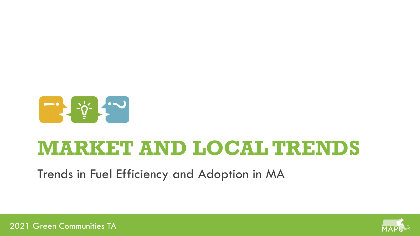

# **MARKET AND LOCAL TRENDS**

Trends in Fuel Efficiency and Adoption in MA

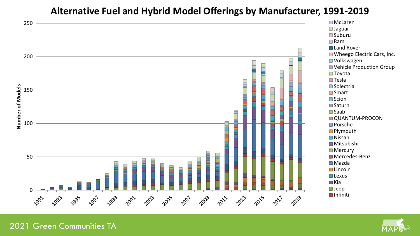### **Alternative Fuel and Hybrid Model Offerings by Manufacturer, 1991-2019**



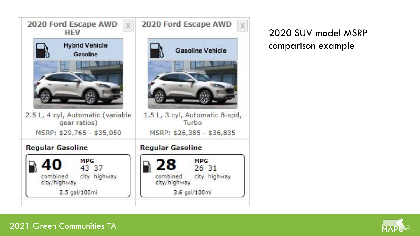

2020 SUV model MSRP comparison example

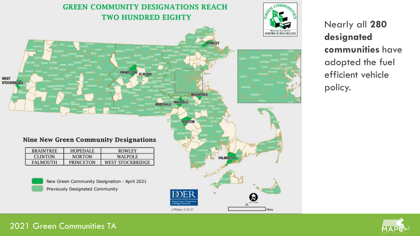

Nearly all **280 designated communities** have adopted the fuel efficient vehicle policy.